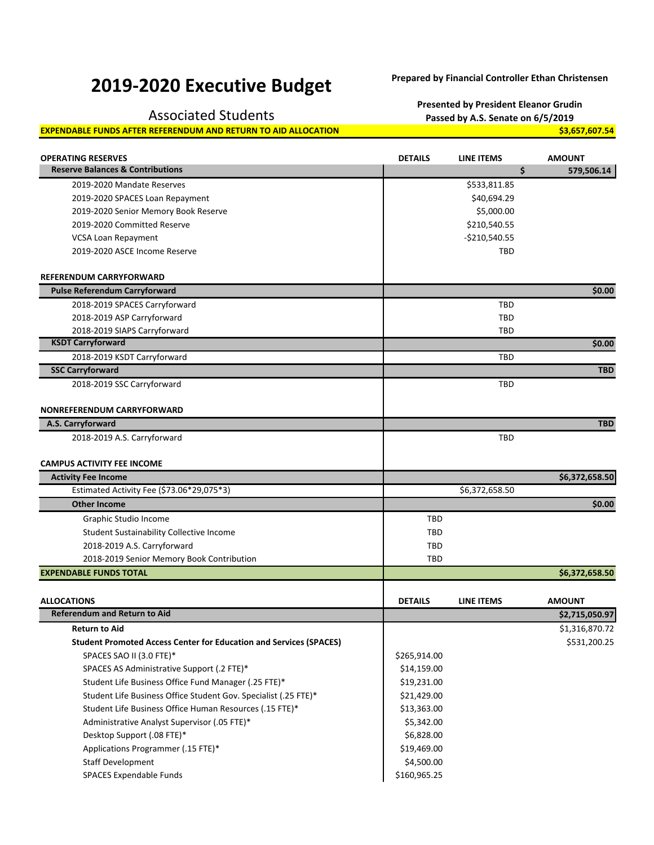## **2019‐2020 Executive Budget Prepared by Financial Controller Ethan Christensen**

**Presented by President Eleanor Grudin**

## Associated Students **Passed by A.S. Senate on 6/5/2019**

**EXPENDABLE FUNDS AFTER REFERENDUM AND RETURN TO AID ALLOCATION \$3,657,607.54**

| <b>OPERATING RESERVES</b><br><b>Reserve Balances &amp; Contributions</b>  | <b>DETAILS</b> | LINE ITEMS<br>\$ | <b>AMOUNT</b><br>579,506.14 |
|---------------------------------------------------------------------------|----------------|------------------|-----------------------------|
| 2019-2020 Mandate Reserves                                                |                | \$533,811.85     |                             |
|                                                                           |                | \$40,694.29      |                             |
| 2019-2020 SPACES Loan Repayment                                           |                | \$5,000.00       |                             |
| 2019-2020 Senior Memory Book Reserve                                      |                |                  |                             |
| 2019-2020 Committed Reserve                                               |                | \$210,540.55     |                             |
| VCSA Loan Repayment                                                       |                | $-$210,540.55$   |                             |
| 2019-2020 ASCE Income Reserve                                             |                | <b>TBD</b>       |                             |
| <b>REFERENDUM CARRYFORWARD</b>                                            |                |                  |                             |
| <b>Pulse Referendum Carryforward</b>                                      |                |                  | \$0.00                      |
| 2018-2019 SPACES Carryforward                                             |                | <b>TBD</b>       |                             |
| 2018-2019 ASP Carryforward                                                |                | TBD              |                             |
| 2018-2019 SIAPS Carryforward                                              |                | TBD              |                             |
| <b>KSDT Carryforward</b>                                                  |                |                  | \$0.00                      |
| 2018-2019 KSDT Carryforward                                               |                | <b>TBD</b>       |                             |
| <b>SSC Carryforward</b>                                                   |                |                  | <b>TBD</b>                  |
| 2018-2019 SSC Carryforward                                                |                | TBD              |                             |
|                                                                           |                |                  |                             |
| <b>NONREFERENDUM CARRYFORWARD</b>                                         |                |                  |                             |
| A.S. Carryforward                                                         |                |                  | <b>TBD</b>                  |
| 2018-2019 A.S. Carryforward                                               |                | <b>TBD</b>       |                             |
|                                                                           |                |                  |                             |
| <b>CAMPUS ACTIVITY FEE INCOME</b>                                         |                |                  |                             |
| <b>Activity Fee Income</b>                                                |                |                  | \$6,372,658.50              |
| Estimated Activity Fee (\$73.06*29,075*3)                                 |                | \$6,372,658.50   |                             |
| <b>Other Income</b>                                                       |                |                  | \$0.00                      |
| Graphic Studio Income                                                     | TBD            |                  |                             |
| Student Sustainability Collective Income                                  | TBD            |                  |                             |
|                                                                           |                |                  |                             |
| 2018-2019 A.S. Carryforward                                               | <b>TBD</b>     |                  |                             |
| 2018-2019 Senior Memory Book Contribution                                 | <b>TBD</b>     |                  |                             |
| <b>EXPENDABLE FUNDS TOTAL</b>                                             |                |                  | \$6,372,658.50              |
|                                                                           |                |                  |                             |
| <b>ALLOCATIONS</b>                                                        | <b>DETAILS</b> | LINE ITEMS       | <b>AMOUNT</b>               |
| <b>Referendum and Return to Aid</b>                                       |                |                  | \$2,715,050.97              |
| <b>Return to Aid</b>                                                      |                |                  | \$1,316,870.72              |
| <b>Student Promoted Access Center for Education and Services (SPACES)</b> |                |                  | \$531,200.25                |
| SPACES SAO II (3.0 FTE)*                                                  | \$265,914.00   |                  |                             |
| SPACES AS Administrative Support (.2 FTE)*                                | \$14,159.00    |                  |                             |
| Student Life Business Office Fund Manager (.25 FTE)*                      | \$19,231.00    |                  |                             |
| Student Life Business Office Student Gov. Specialist (.25 FTE)*           | \$21,429.00    |                  |                             |
| Student Life Business Office Human Resources (.15 FTE)*                   | \$13,363.00    |                  |                             |
| Administrative Analyst Supervisor (.05 FTE)*                              | \$5,342.00     |                  |                             |
| Desktop Support (.08 FTE)*                                                | \$6,828.00     |                  |                             |
| Applications Programmer (.15 FTE)*                                        | \$19,469.00    |                  |                             |
| <b>Staff Development</b>                                                  | \$4,500.00     |                  |                             |
| SPACES Expendable Funds                                                   | \$160,965.25   |                  |                             |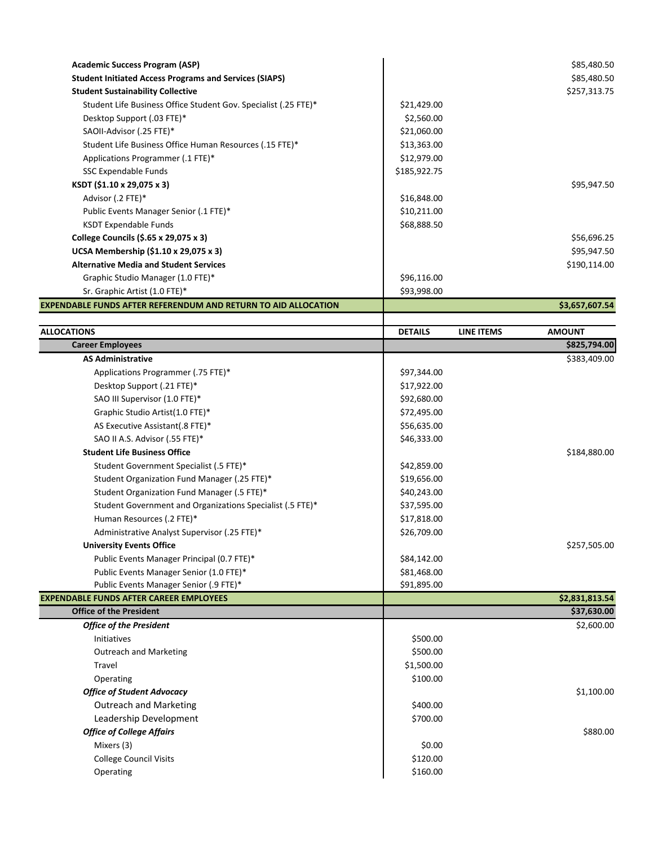| <b>Academic Success Program (ASP)</b><br><b>Student Initiated Access Programs and Services (SIAPS)</b> |                |                   | \$85,480.50<br>\$85,480.50    |
|--------------------------------------------------------------------------------------------------------|----------------|-------------------|-------------------------------|
| <b>Student Sustainability Collective</b>                                                               |                |                   | \$257,313.75                  |
| Student Life Business Office Student Gov. Specialist (.25 FTE)*                                        | \$21,429.00    |                   |                               |
| Desktop Support (.03 FTE)*                                                                             | \$2,560.00     |                   |                               |
| SAOII-Advisor (.25 FTE)*                                                                               | \$21,060.00    |                   |                               |
| Student Life Business Office Human Resources (.15 FTE)*                                                | \$13,363.00    |                   |                               |
| Applications Programmer (.1 FTE)*                                                                      | \$12,979.00    |                   |                               |
| SSC Expendable Funds                                                                                   | \$185,922.75   |                   |                               |
| KSDT (\$1.10 x 29,075 x 3)                                                                             |                |                   | \$95,947.50                   |
| Advisor (.2 FTE)*                                                                                      | \$16,848.00    |                   |                               |
| Public Events Manager Senior (.1 FTE)*                                                                 | \$10,211.00    |                   |                               |
| <b>KSDT Expendable Funds</b>                                                                           | \$68,888.50    |                   |                               |
|                                                                                                        |                |                   |                               |
| College Councils (\$.65 x 29,075 x 3)                                                                  |                |                   | \$56,696.25                   |
| UCSA Membership (\$1.10 x 29,075 x 3)                                                                  |                |                   | \$95,947.50                   |
| <b>Alternative Media and Student Services</b>                                                          |                |                   | \$190,114.00                  |
| Graphic Studio Manager (1.0 FTE)*                                                                      | \$96,116.00    |                   |                               |
| Sr. Graphic Artist (1.0 FTE)*                                                                          | \$93,998.00    |                   |                               |
| EXPENDABLE FUNDS AFTER REFERENDUM AND RETURN TO AID ALLOCATION                                         |                |                   | \$3,657,607.54                |
| <b>ALLOCATIONS</b>                                                                                     | <b>DETAILS</b> | <b>LINE ITEMS</b> | <b>AMOUNT</b>                 |
| <b>Career Employees</b>                                                                                |                |                   | \$825,794.00                  |
| <b>AS Administrative</b>                                                                               |                |                   | \$383,409.00                  |
| Applications Programmer (.75 FTE)*                                                                     | \$97,344.00    |                   |                               |
| Desktop Support (.21 FTE)*                                                                             | \$17,922.00    |                   |                               |
| SAO III Supervisor (1.0 FTE)*                                                                          | \$92,680.00    |                   |                               |
| Graphic Studio Artist(1.0 FTE)*                                                                        | \$72,495.00    |                   |                               |
| AS Executive Assistant(.8 FTE)*                                                                        | \$56,635.00    |                   |                               |
| SAO II A.S. Advisor (.55 FTE)*                                                                         | \$46,333.00    |                   |                               |
| <b>Student Life Business Office</b>                                                                    |                |                   | \$184,880.00                  |
| Student Government Specialist (.5 FTE)*                                                                | \$42,859.00    |                   |                               |
| Student Organization Fund Manager (.25 FTE)*                                                           | \$19,656.00    |                   |                               |
|                                                                                                        |                |                   |                               |
| Student Organization Fund Manager (.5 FTE)*                                                            | \$40,243.00    |                   |                               |
| Student Government and Organizations Specialist (.5 FTE)*                                              | \$37,595.00    |                   |                               |
| Human Resources (.2 FTE)*                                                                              | \$17,818.00    |                   |                               |
| Administrative Analyst Supervisor (.25 FTE)*                                                           | \$26,709.00    |                   |                               |
| <b>University Events Office</b>                                                                        |                |                   | \$257,505.00                  |
| Public Events Manager Principal (0.7 FTE)*                                                             | \$84,142.00    |                   |                               |
| Public Events Manager Senior (1.0 FTE)*                                                                | \$81,468.00    |                   |                               |
| Public Events Manager Senior (.9 FTE)*<br><b>EXPENDABLE FUNDS AFTER CAREER EMPLOYEES</b>               | \$91,895.00    |                   |                               |
| <b>Office of the President</b>                                                                         |                |                   | \$2,831,813.54<br>\$37,630.00 |
| <b>Office of the President</b>                                                                         |                |                   | \$2,600.00                    |
| Initiatives                                                                                            | \$500.00       |                   |                               |
| <b>Outreach and Marketing</b>                                                                          | \$500.00       |                   |                               |
| Travel                                                                                                 | \$1,500.00     |                   |                               |
|                                                                                                        | \$100.00       |                   |                               |
| Operating                                                                                              |                |                   |                               |
| <b>Office of Student Advocacy</b>                                                                      |                |                   | \$1,100.00                    |
| <b>Outreach and Marketing</b>                                                                          | \$400.00       |                   |                               |
| Leadership Development                                                                                 | \$700.00       |                   |                               |
| <b>Office of College Affairs</b>                                                                       |                |                   | \$880.00                      |
| Mixers (3)                                                                                             | \$0.00         |                   |                               |
| <b>College Council Visits</b>                                                                          | \$120.00       |                   |                               |
| Operating                                                                                              | \$160.00       |                   |                               |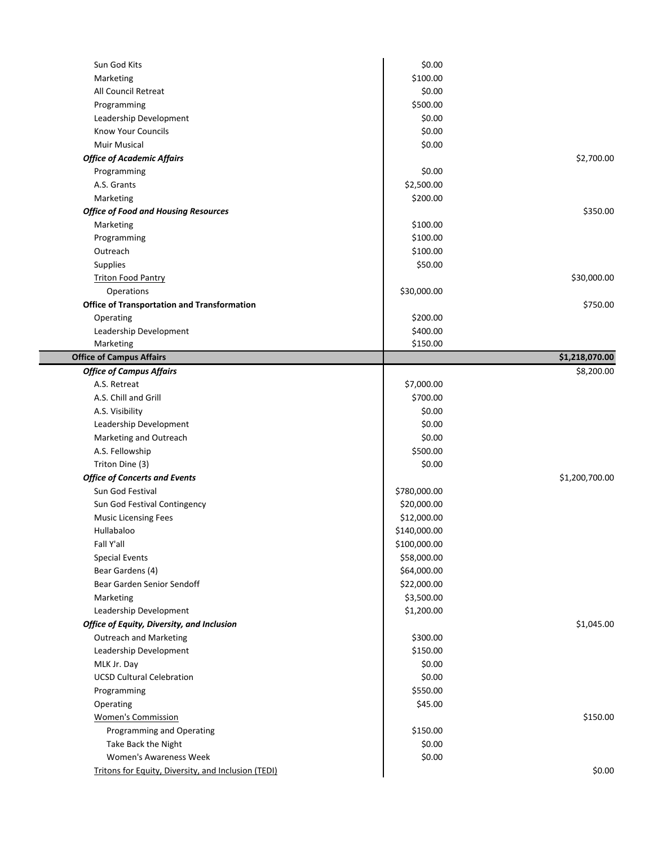| Sun God Kits                                               | \$0.00       |                |
|------------------------------------------------------------|--------------|----------------|
| Marketing                                                  | \$100.00     |                |
| All Council Retreat                                        | \$0.00       |                |
| Programming                                                | \$500.00     |                |
| Leadership Development                                     | \$0.00       |                |
| Know Your Councils                                         | \$0.00       |                |
| <b>Muir Musical</b>                                        | \$0.00       |                |
| <b>Office of Academic Affairs</b>                          |              | \$2,700.00     |
| Programming                                                | \$0.00       |                |
| A.S. Grants                                                | \$2,500.00   |                |
| Marketing                                                  | \$200.00     |                |
| <b>Office of Food and Housing Resources</b>                |              | \$350.00       |
| Marketing                                                  | \$100.00     |                |
|                                                            | \$100.00     |                |
| Programming<br>Outreach                                    | \$100.00     |                |
|                                                            |              |                |
| Supplies                                                   | \$50.00      |                |
| <b>Triton Food Pantry</b>                                  |              | \$30,000.00    |
| Operations                                                 | \$30,000.00  |                |
| <b>Office of Transportation and Transformation</b>         |              | \$750.00       |
| Operating                                                  | \$200.00     |                |
| Leadership Development                                     | \$400.00     |                |
| Marketing                                                  | \$150.00     |                |
| <b>Office of Campus Affairs</b>                            |              | \$1,218,070.00 |
| <b>Office of Campus Affairs</b>                            |              | \$8,200.00     |
| A.S. Retreat                                               | \$7,000.00   |                |
| A.S. Chill and Grill                                       | \$700.00     |                |
| A.S. Visibility                                            | \$0.00       |                |
| Leadership Development                                     | \$0.00       |                |
| Marketing and Outreach                                     | \$0.00       |                |
| A.S. Fellowship                                            | \$500.00     |                |
| Triton Dine (3)                                            | \$0.00       |                |
| <b>Office of Concerts and Events</b>                       |              | \$1,200,700.00 |
| Sun God Festival                                           | \$780,000.00 |                |
| Sun God Festival Contingency                               | \$20,000.00  |                |
| <b>Music Licensing Fees</b>                                | \$12,000.00  |                |
| Hullabaloo                                                 | \$140,000.00 |                |
| Fall Y'all                                                 | \$100,000.00 |                |
| <b>Special Events</b>                                      | \$58,000.00  |                |
| Bear Gardens (4)                                           | \$64,000.00  |                |
| Bear Garden Senior Sendoff                                 | \$22,000.00  |                |
| Marketing                                                  | \$3,500.00   |                |
| Leadership Development                                     | \$1,200.00   |                |
| Office of Equity, Diversity, and Inclusion                 |              | \$1,045.00     |
| <b>Outreach and Marketing</b>                              | \$300.00     |                |
| Leadership Development                                     | \$150.00     |                |
| MLK Jr. Day                                                | \$0.00       |                |
| <b>UCSD Cultural Celebration</b>                           | \$0.00       |                |
| Programming                                                | \$550.00     |                |
| Operating                                                  | \$45.00      |                |
| <b>Women's Commission</b>                                  |              | \$150.00       |
| Programming and Operating                                  | \$150.00     |                |
| Take Back the Night                                        | \$0.00       |                |
| Women's Awareness Week                                     | \$0.00       |                |
| <b>Tritons for Equity, Diversity, and Inclusion (TEDI)</b> |              | \$0.00         |
|                                                            |              |                |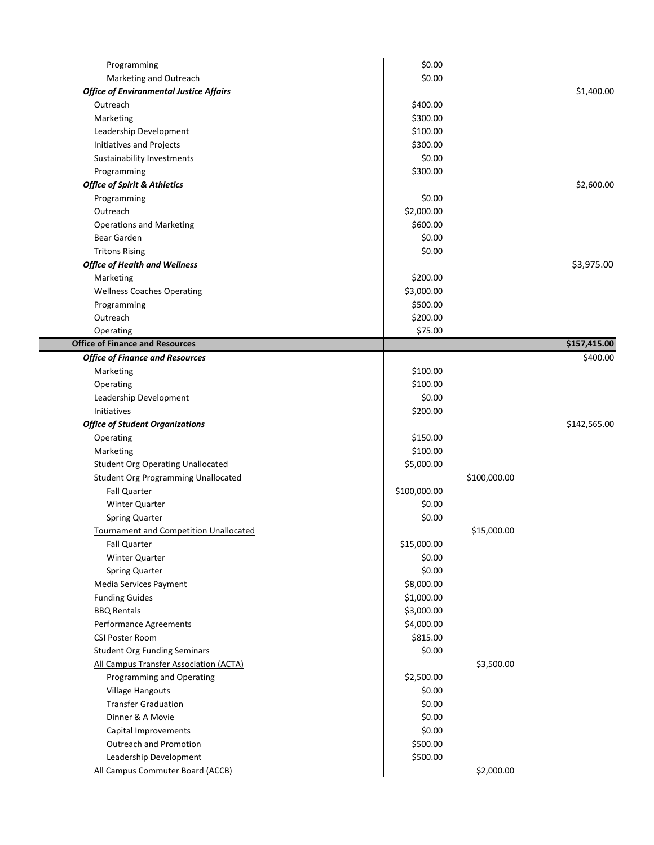| Programming                                    | \$0.00       |              |              |
|------------------------------------------------|--------------|--------------|--------------|
| Marketing and Outreach                         | \$0.00       |              |              |
| <b>Office of Environmental Justice Affairs</b> |              |              | \$1,400.00   |
| Outreach                                       | \$400.00     |              |              |
| Marketing                                      | \$300.00     |              |              |
| Leadership Development                         | \$100.00     |              |              |
| Initiatives and Projects                       | \$300.00     |              |              |
| Sustainability Investments                     | \$0.00       |              |              |
| Programming                                    | \$300.00     |              |              |
| <b>Office of Spirit &amp; Athletics</b>        |              |              | \$2,600.00   |
| Programming                                    | \$0.00       |              |              |
| Outreach                                       | \$2,000.00   |              |              |
| <b>Operations and Marketing</b>                | \$600.00     |              |              |
| Bear Garden                                    | \$0.00       |              |              |
| <b>Tritons Rising</b>                          | \$0.00       |              |              |
| <b>Office of Health and Wellness</b>           |              |              | \$3,975.00   |
| Marketing                                      | \$200.00     |              |              |
| <b>Wellness Coaches Operating</b>              | \$3,000.00   |              |              |
| Programming                                    | \$500.00     |              |              |
| Outreach                                       | \$200.00     |              |              |
| Operating                                      | \$75.00      |              |              |
| <b>Office of Finance and Resources</b>         |              |              | \$157,415.00 |
| <b>Office of Finance and Resources</b>         |              |              | \$400.00     |
| Marketing                                      | \$100.00     |              |              |
| Operating                                      | \$100.00     |              |              |
| Leadership Development                         | \$0.00       |              |              |
| <b>Initiatives</b>                             | \$200.00     |              |              |
| <b>Office of Student Organizations</b>         |              |              | \$142,565.00 |
| Operating                                      | \$150.00     |              |              |
| Marketing                                      | \$100.00     |              |              |
| <b>Student Org Operating Unallocated</b>       | \$5,000.00   |              |              |
| <b>Student Org Programming Unallocated</b>     |              | \$100,000.00 |              |
| <b>Fall Quarter</b>                            | \$100,000.00 |              |              |
| Winter Quarter                                 | \$0.00       |              |              |
| <b>Spring Quarter</b>                          | \$0.00       |              |              |
| Tournament and Competition Unallocated         |              | \$15,000.00  |              |
| <b>Fall Quarter</b>                            | \$15,000.00  |              |              |
| Winter Quarter                                 | \$0.00       |              |              |
| <b>Spring Quarter</b>                          | \$0.00       |              |              |
| Media Services Payment                         | \$8,000.00   |              |              |
| <b>Funding Guides</b>                          | \$1,000.00   |              |              |
| <b>BBQ Rentals</b>                             | \$3,000.00   |              |              |
| Performance Agreements                         | \$4,000.00   |              |              |
| CSI Poster Room                                | \$815.00     |              |              |
| <b>Student Org Funding Seminars</b>            | \$0.00       |              |              |
| All Campus Transfer Association (ACTA)         |              | \$3,500.00   |              |
| Programming and Operating                      | \$2,500.00   |              |              |
| Village Hangouts                               | \$0.00       |              |              |
| <b>Transfer Graduation</b>                     | \$0.00       |              |              |
| Dinner & A Movie                               | \$0.00       |              |              |
| Capital Improvements                           | \$0.00       |              |              |
| <b>Outreach and Promotion</b>                  | \$500.00     |              |              |
| Leadership Development                         | \$500.00     |              |              |
| All Campus Commuter Board (ACCB)               |              | \$2,000.00   |              |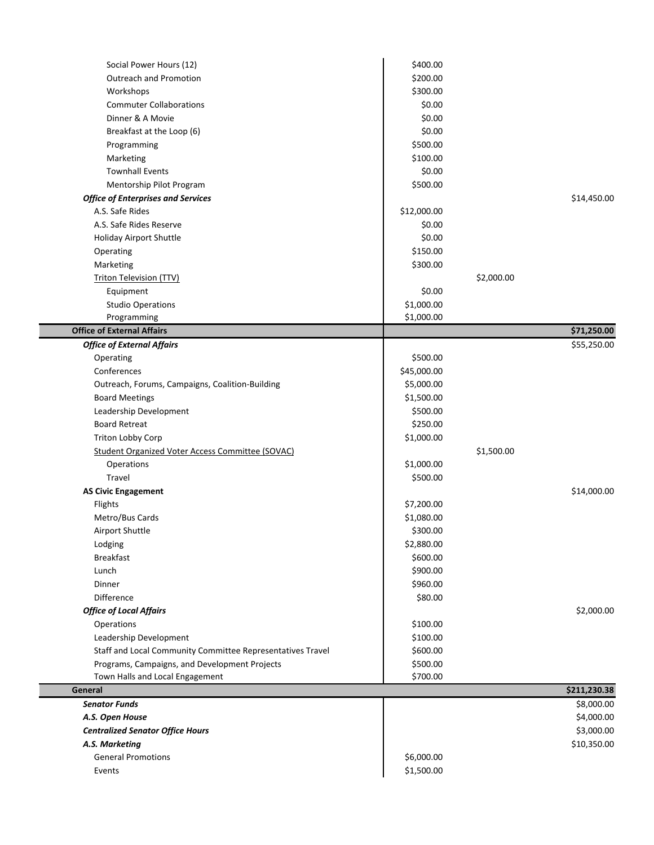| \$400.00    |                                                                                                                               |              |
|-------------|-------------------------------------------------------------------------------------------------------------------------------|--------------|
|             |                                                                                                                               |              |
|             |                                                                                                                               |              |
|             |                                                                                                                               |              |
|             |                                                                                                                               |              |
|             |                                                                                                                               |              |
|             |                                                                                                                               |              |
|             |                                                                                                                               |              |
|             |                                                                                                                               |              |
|             |                                                                                                                               |              |
|             |                                                                                                                               | \$14,450.00  |
|             |                                                                                                                               |              |
| \$0.00      |                                                                                                                               |              |
| \$0.00      |                                                                                                                               |              |
| \$150.00    |                                                                                                                               |              |
| \$300.00    |                                                                                                                               |              |
|             | \$2,000.00                                                                                                                    |              |
| \$0.00      |                                                                                                                               |              |
| \$1,000.00  |                                                                                                                               |              |
|             |                                                                                                                               |              |
|             |                                                                                                                               | \$71,250.00  |
|             |                                                                                                                               | \$55,250.00  |
| \$500.00    |                                                                                                                               |              |
| \$45,000.00 |                                                                                                                               |              |
| \$5,000.00  |                                                                                                                               |              |
| \$1,500.00  |                                                                                                                               |              |
| \$500.00    |                                                                                                                               |              |
| \$250.00    |                                                                                                                               |              |
| \$1,000.00  |                                                                                                                               |              |
|             | \$1,500.00                                                                                                                    |              |
| \$1,000.00  |                                                                                                                               |              |
| \$500.00    |                                                                                                                               |              |
|             |                                                                                                                               | \$14,000.00  |
| \$7,200.00  |                                                                                                                               |              |
| \$1,080.00  |                                                                                                                               |              |
| \$300.00    |                                                                                                                               |              |
|             |                                                                                                                               |              |
| \$2,880.00  |                                                                                                                               |              |
| \$600.00    |                                                                                                                               |              |
| \$900.00    |                                                                                                                               |              |
| \$960.00    |                                                                                                                               |              |
| \$80.00     |                                                                                                                               |              |
|             |                                                                                                                               | \$2,000.00   |
| \$100.00    |                                                                                                                               |              |
| \$100.00    |                                                                                                                               |              |
| \$600.00    |                                                                                                                               |              |
| \$500.00    |                                                                                                                               |              |
| \$700.00    |                                                                                                                               |              |
|             |                                                                                                                               | \$211,230.38 |
|             |                                                                                                                               | \$8,000.00   |
|             |                                                                                                                               | \$4,000.00   |
|             |                                                                                                                               | \$3,000.00   |
|             |                                                                                                                               | \$10,350.00  |
| \$6,000.00  |                                                                                                                               |              |
|             | \$200.00<br>\$300.00<br>\$0.00<br>\$0.00<br>\$0.00<br>\$500.00<br>\$100.00<br>\$0.00<br>\$500.00<br>\$12,000.00<br>\$1,000.00 |              |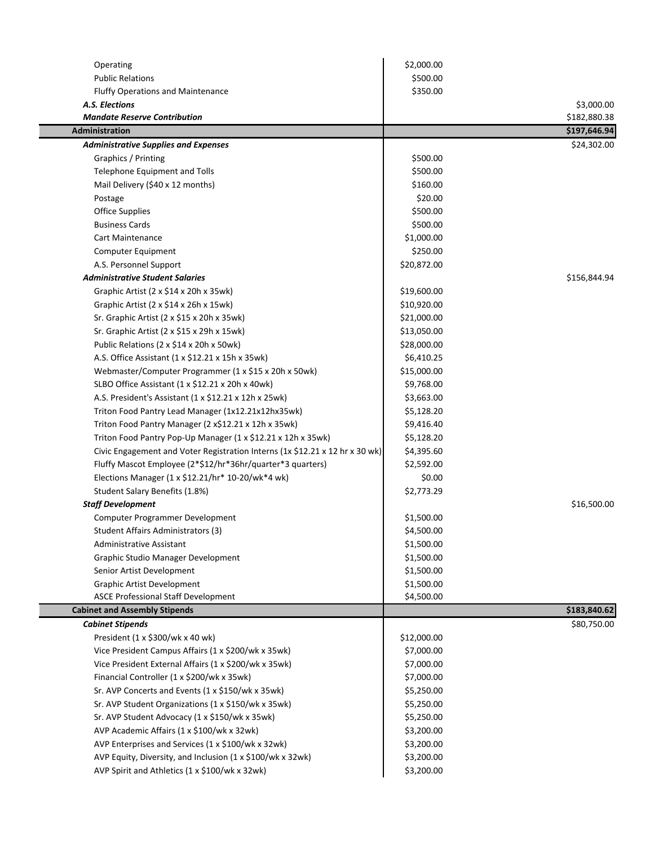| Operating                                                                    | \$2,000.00  |              |
|------------------------------------------------------------------------------|-------------|--------------|
| <b>Public Relations</b>                                                      | \$500.00    |              |
| <b>Fluffy Operations and Maintenance</b>                                     | \$350.00    |              |
| A.S. Elections                                                               |             | \$3,000.00   |
| <b>Mandate Reserve Contribution</b>                                          |             | \$182,880.38 |
| <b>Administration</b>                                                        |             | \$197,646.94 |
| <b>Administrative Supplies and Expenses</b>                                  |             | \$24,302.00  |
| Graphics / Printing                                                          | \$500.00    |              |
| Telephone Equipment and Tolls                                                | \$500.00    |              |
| Mail Delivery (\$40 x 12 months)                                             | \$160.00    |              |
| Postage                                                                      | \$20.00     |              |
| <b>Office Supplies</b>                                                       | \$500.00    |              |
| <b>Business Cards</b>                                                        | \$500.00    |              |
| Cart Maintenance                                                             | \$1,000.00  |              |
| Computer Equipment                                                           | \$250.00    |              |
| A.S. Personnel Support                                                       | \$20,872.00 |              |
| <b>Administrative Student Salaries</b>                                       |             | \$156,844.94 |
| Graphic Artist (2 x \$14 x 20h x 35wk)                                       | \$19,600.00 |              |
| Graphic Artist (2 x \$14 x 26h x 15wk)                                       | \$10,920.00 |              |
| Sr. Graphic Artist (2 x \$15 x 20h x 35wk)                                   | \$21,000.00 |              |
| Sr. Graphic Artist (2 x \$15 x 29h x 15wk)                                   | \$13,050.00 |              |
| Public Relations (2 x \$14 x 20h x 50wk)                                     | \$28,000.00 |              |
| A.S. Office Assistant (1 x \$12.21 x 15h x 35wk)                             | \$6,410.25  |              |
| Webmaster/Computer Programmer (1 x \$15 x 20h x 50wk)                        | \$15,000.00 |              |
| SLBO Office Assistant (1 x \$12.21 x 20h x 40wk)                             | \$9,768.00  |              |
| A.S. President's Assistant (1 x \$12.21 x 12h x 25wk)                        | \$3,663.00  |              |
| Triton Food Pantry Lead Manager (1x12.21x12hx35wk)                           | \$5,128.20  |              |
| Triton Food Pantry Manager (2 x\$12.21 x 12h x 35wk)                         | \$9,416.40  |              |
| Triton Food Pantry Pop-Up Manager (1 x \$12.21 x 12h x 35wk)                 | \$5,128.20  |              |
| Civic Engagement and Voter Registration Interns (1x \$12.21 x 12 hr x 30 wk) | \$4,395.60  |              |
| Fluffy Mascot Employee (2*\$12/hr*36hr/quarter*3 quarters)                   | \$2,592.00  |              |
| Elections Manager (1 x \$12.21/hr* 10-20/wk*4 wk)                            | \$0.00      |              |
| Student Salary Benefits (1.8%)                                               | \$2,773.29  |              |
| <b>Staff Development</b>                                                     |             | \$16,500.00  |
| Computer Programmer Development                                              | \$1,500.00  |              |
| Student Affairs Administrators (3)                                           | \$4,500.00  |              |
| <b>Administrative Assistant</b>                                              | \$1,500.00  |              |
| Graphic Studio Manager Development                                           | \$1,500.00  |              |
| Senior Artist Development                                                    | \$1,500.00  |              |
| <b>Graphic Artist Development</b>                                            | \$1,500.00  |              |
| <b>ASCE Professional Staff Development</b>                                   | \$4,500.00  |              |
| <b>Cabinet and Assembly Stipends</b>                                         |             | \$183,840.62 |
| <b>Cabinet Stipends</b>                                                      |             | \$80,750.00  |
| President (1 x \$300/wk x 40 wk)                                             | \$12,000.00 |              |
| Vice President Campus Affairs (1 x \$200/wk x 35wk)                          | \$7,000.00  |              |
| Vice President External Affairs (1 x \$200/wk x 35wk)                        | \$7,000.00  |              |
| Financial Controller (1 x \$200/wk x 35wk)                                   | \$7,000.00  |              |
| Sr. AVP Concerts and Events (1 x \$150/wk x 35wk)                            | \$5,250.00  |              |
| Sr. AVP Student Organizations (1 x \$150/wk x 35wk)                          | \$5,250.00  |              |
| Sr. AVP Student Advocacy (1 x \$150/wk x 35wk)                               | \$5,250.00  |              |
| AVP Academic Affairs (1 x \$100/wk x 32wk)                                   | \$3,200.00  |              |
| AVP Enterprises and Services (1 x \$100/wk x 32wk)                           | \$3,200.00  |              |
| AVP Equity, Diversity, and Inclusion (1 x \$100/wk x 32wk)                   | \$3,200.00  |              |
| AVP Spirit and Athletics (1 x \$100/wk x 32wk)                               | \$3,200.00  |              |
|                                                                              |             |              |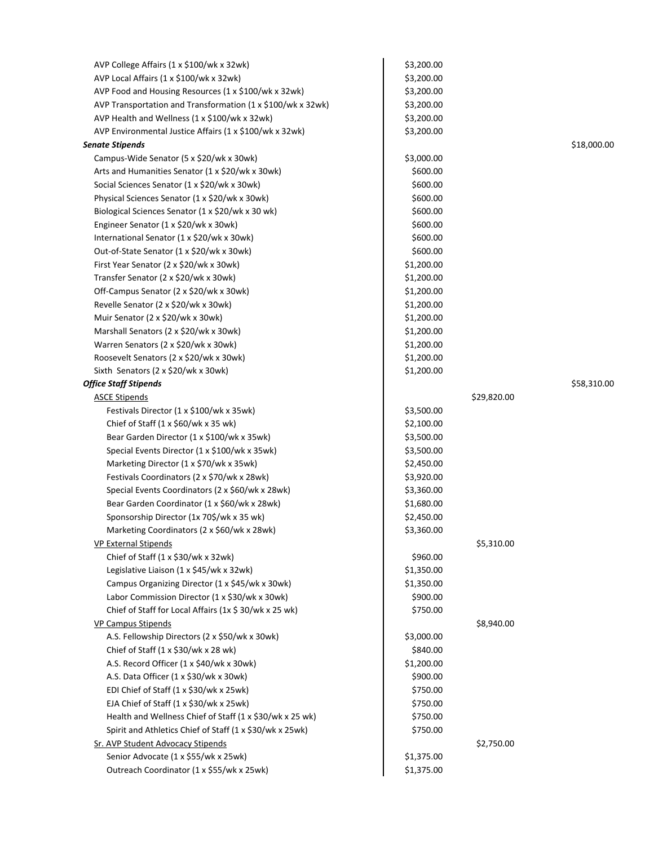| AVP College Affairs (1 x \$100/wk x 32wk)                   | \$3,200.00 |             |             |
|-------------------------------------------------------------|------------|-------------|-------------|
| AVP Local Affairs (1 x \$100/wk x 32wk)                     | \$3,200.00 |             |             |
| AVP Food and Housing Resources (1 x \$100/wk x 32wk)        | \$3,200.00 |             |             |
| AVP Transportation and Transformation (1 x \$100/wk x 32wk) | \$3,200.00 |             |             |
| AVP Health and Wellness (1 x \$100/wk x 32wk)               | \$3,200.00 |             |             |
| AVP Environmental Justice Affairs (1 x \$100/wk x 32wk)     | \$3,200.00 |             |             |
| <b>Senate Stipends</b>                                      |            |             | \$18,000.00 |
| Campus-Wide Senator (5 x \$20/wk x 30wk)                    | \$3,000.00 |             |             |
| Arts and Humanities Senator (1 x \$20/wk x 30wk)            | \$600.00   |             |             |
| Social Sciences Senator (1 x \$20/wk x 30wk)                | \$600.00   |             |             |
| Physical Sciences Senator (1 x \$20/wk x 30wk)              | \$600.00   |             |             |
| Biological Sciences Senator (1 x \$20/wk x 30 wk)           | \$600.00   |             |             |
| Engineer Senator (1 x \$20/wk x 30wk)                       | \$600.00   |             |             |
| International Senator (1 x \$20/wk x 30wk)                  | \$600.00   |             |             |
| Out-of-State Senator (1 x \$20/wk x 30wk)                   | \$600.00   |             |             |
| First Year Senator (2 x \$20/wk x 30wk)                     | \$1,200.00 |             |             |
| Transfer Senator (2 x \$20/wk x 30wk)                       | \$1,200.00 |             |             |
| Off-Campus Senator (2 x \$20/wk x 30wk)                     | \$1,200.00 |             |             |
| Revelle Senator (2 x \$20/wk x 30wk)                        | \$1,200.00 |             |             |
| Muir Senator (2 x \$20/wk x 30wk)                           | \$1,200.00 |             |             |
| Marshall Senators (2 x \$20/wk x 30wk)                      | \$1,200.00 |             |             |
| Warren Senators (2 x \$20/wk x 30wk)                        | \$1,200.00 |             |             |
| Roosevelt Senators (2 x \$20/wk x 30wk)                     | \$1,200.00 |             |             |
| Sixth Senators (2 x \$20/wk x 30wk)                         | \$1,200.00 |             |             |
| <b>Office Staff Stipends</b>                                |            |             | \$58,310.00 |
| <b>ASCE Stipends</b>                                        |            | \$29,820.00 |             |
| Festivals Director (1 x \$100/wk x 35wk)                    | \$3,500.00 |             |             |
| Chief of Staff (1 x \$60/wk x 35 wk)                        | \$2,100.00 |             |             |
| Bear Garden Director (1 x \$100/wk x 35wk)                  | \$3,500.00 |             |             |
| Special Events Director (1 x \$100/wk x 35wk)               | \$3,500.00 |             |             |
| Marketing Director (1 x \$70/wk x 35wk)                     | \$2,450.00 |             |             |
| Festivals Coordinators (2 x \$70/wk x 28wk)                 | \$3,920.00 |             |             |
| Special Events Coordinators (2 x \$60/wk x 28wk)            | \$3,360.00 |             |             |
| Bear Garden Coordinator (1 x \$60/wk x 28wk)                | \$1,680.00 |             |             |
| Sponsorship Director (1x 70\$/wk x 35 wk)                   | \$2,450.00 |             |             |
| Marketing Coordinators (2 x \$60/wk x 28wk)                 | \$3,360.00 |             |             |
| <b>VP External Stipends</b>                                 |            | \$5,310.00  |             |
| Chief of Staff (1 x \$30/wk x 32wk)                         | \$960.00   |             |             |
| Legislative Liaison (1 x \$45/wk x 32wk)                    | \$1,350.00 |             |             |
| Campus Organizing Director (1 x \$45/wk x 30wk)             | \$1,350.00 |             |             |
| Labor Commission Director (1 x \$30/wk x 30wk)              | \$900.00   |             |             |
| Chief of Staff for Local Affairs (1x \$ 30/wk x 25 wk)      | \$750.00   |             |             |
| <b>VP Campus Stipends</b>                                   |            | \$8,940.00  |             |
| A.S. Fellowship Directors (2 x \$50/wk x 30wk)              | \$3,000.00 |             |             |
| Chief of Staff $(1 \times $30/wk \times 28 wk)$             | \$840.00   |             |             |
| A.S. Record Officer (1 x \$40/wk x 30wk)                    | \$1,200.00 |             |             |
| A.S. Data Officer (1 x \$30/wk x 30wk)                      | \$900.00   |             |             |
| EDI Chief of Staff (1 x \$30/wk x 25wk)                     | \$750.00   |             |             |
| EJA Chief of Staff (1 x \$30/wk x 25wk)                     | \$750.00   |             |             |
| Health and Wellness Chief of Staff (1 x \$30/wk x 25 wk)    | \$750.00   |             |             |
| Spirit and Athletics Chief of Staff (1 x \$30/wk x 25wk)    | \$750.00   |             |             |
| Sr. AVP Student Advocacy Stipends                           |            | \$2,750.00  |             |
| Senior Advocate (1 x \$55/wk x 25wk)                        | \$1,375.00 |             |             |
| Outreach Coordinator (1 x \$55/wk x 25wk)                   | \$1,375.00 |             |             |